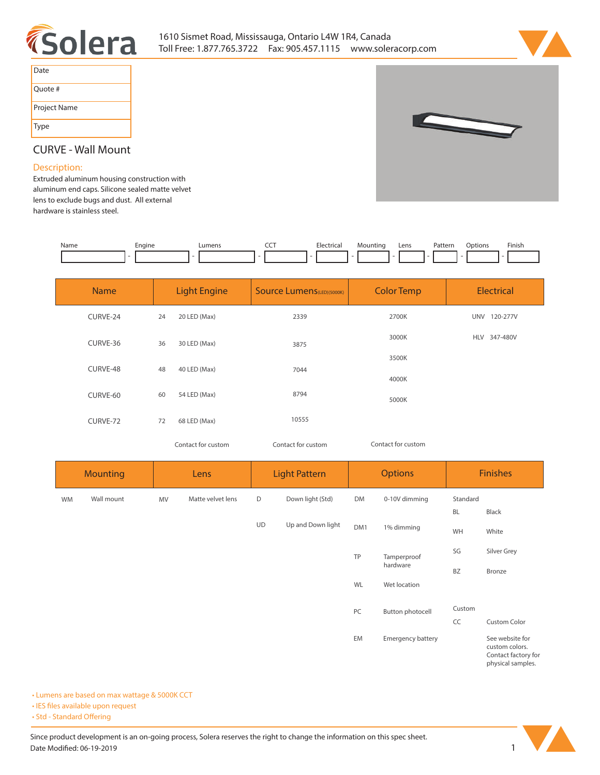



| Date         |
|--------------|
| Ouote #      |
| Project Name |
| Type         |



## **CURVE - Wall Mount**

## **Description:**

**Extruded aluminum housing construction with aluminum end caps. Silicone sealed matte velvet lens to exclude bugs and dust. All external hardware is stainless steel.** 

| Name | cngine<br>. . | _umens | ---<br>___ | . | Lens | Patterr<br>. | tions<br>. | <b>Finish</b> |
|------|---------------|--------|------------|---|------|--------------|------------|---------------|
|      |               |        |            |   |      |              |            |               |

| <b>Name</b> | <b>Light Engine</b> |                    | <b>Source Lumens (LED) (5000K)</b> | <b>Color Temp</b>  | Electrical             |  |  |
|-------------|---------------------|--------------------|------------------------------------|--------------------|------------------------|--|--|
| CURVE-24    | 24                  | 20 LED (Max)       | 2339                               | 2700K              | 120-277V<br><b>UNV</b> |  |  |
| CURVE-36    | 36                  | 30 LED (Max)       | 3875                               | 3000K              | 347-480V<br>HLV        |  |  |
| CURVE-48    | 48                  | 40 LED (Max)       | 7044                               | 3500K              |                        |  |  |
|             |                     |                    | 8794                               | 4000K              |                        |  |  |
| CURVE-60    | 60                  | 54 LED (Max)       |                                    | 5000K              |                        |  |  |
| CURVE-72    | 72                  | 68 LED (Max)       | 10555                              |                    |                        |  |  |
|             |                     | Contact for custom | Contact for custom                 | Contact for custom |                        |  |  |

| <b>Mounting</b> |            | Lens |                   | <b>Light Pattern</b> |                   | <b>Options</b> |                   | <b>Finishes</b> |                                                                               |  |
|-----------------|------------|------|-------------------|----------------------|-------------------|----------------|-------------------|-----------------|-------------------------------------------------------------------------------|--|
| <b>WM</b>       | Wall mount | MV   | Matte velvet lens | D                    | Down light (Std)  | DM             | 0-10V dimming     | Standard        |                                                                               |  |
|                 |            |      |                   |                      |                   |                |                   | <b>BL</b>       | Black                                                                         |  |
|                 |            |      |                   | UD                   | Up and Down light | DM1            | 1% dimming        | WH              | White                                                                         |  |
|                 |            |      |                   |                      |                   | TP             | Tamperproof       | SG              | Silver Grey                                                                   |  |
|                 |            |      |                   |                      |                   |                | hardware          | <b>BZ</b>       | Bronze                                                                        |  |
|                 |            |      |                   |                      |                   | WL             | Wet location      |                 |                                                                               |  |
|                 |            |      |                   |                      |                   | PC             | Button photocell  | Custom          |                                                                               |  |
|                 |            |      |                   |                      |                   |                |                   | CC              | Custom Color                                                                  |  |
|                 |            |      |                   |                      |                   | EM             | Emergency battery |                 | See website for<br>custom colors.<br>Contact factory for<br>physical samples. |  |

**• Lumens are based on max wattage & 5000K CCT**

**• IES files available upon request** 

• Std - Standard Offering